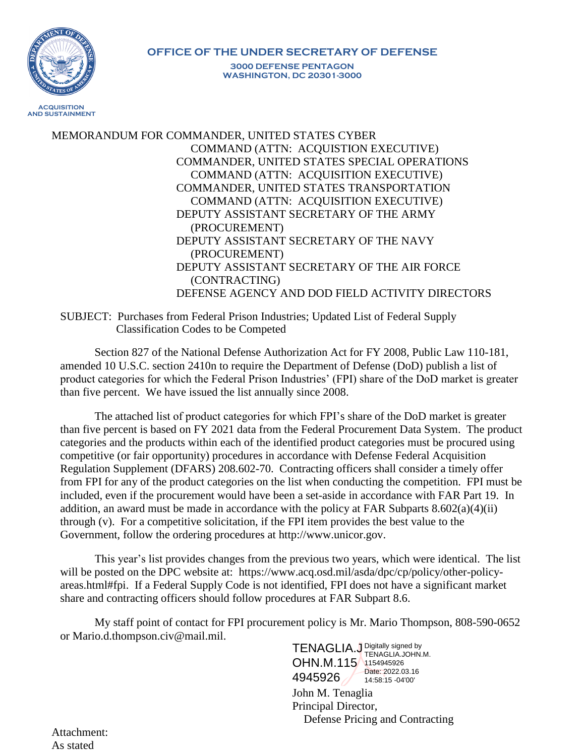

## **OFFICE OF THE UNDER SECRETARY OF DEFENSE 3000 DEFENSE PENTAGON WASHINGTON, DC 20301-3000**

MEMORANDUM FOR COMMANDER, UNITED STATES CYBER COMMAND (ATTN: ACQUISTION EXECUTIVE) COMMANDER, UNITED STATES SPECIAL OPERATIONS COMMAND (ATTN: ACQUISITION EXECUTIVE) COMMANDER, UNITED STATES TRANSPORTATION COMMAND (ATTN: ACQUISITION EXECUTIVE) DEPUTY ASSISTANT SECRETARY OF THE ARMY (PROCUREMENT) DEPUTY ASSISTANT SECRETARY OF THE NAVY (PROCUREMENT) DEPUTY ASSISTANT SECRETARY OF THE AIR FORCE (CONTRACTING) DEFENSE AGENCY AND DOD FIELD ACTIVITY DIRECTORS

SUBJECT: Purchases from Federal Prison Industries; Updated List of Federal Supply Classification Codes to be Competed

Section 827 of the National Defense Authorization Act for FY 2008, Public Law 110-181, amended 10 U.S.C. section 2410n to require the Department of Defense (DoD) publish a list of product categories for which the Federal Prison Industries' (FPI) share of the DoD market is greater than five percent. We have issued the list annually since 2008.

The attached list of product categories for which FPI's share of the DoD market is greater than five percent is based on FY 2021 data from the Federal Procurement Data System. The product categories and the products within each of the identified product categories must be procured using competitive (or fair opportunity) procedures in accordance with Defense Federal Acquisition Regulation Supplement (DFARS) 208.602-70. Contracting officers shall consider a timely offer from FPI for any of the product categories on the list when conducting the competition. FPI must be included, even if the procurement would have been a set-aside in accordance with FAR Part 19. In addition, an award must be made in accordance with the policy at FAR Subparts  $8.602(a)(4)(ii)$ through (v). For a competitive solicitation, if the FPI item provides the best value to the Government, follow the ordering procedures at http://www.unicor.gov.

This year's list provides changes from the previous two years, which were identical. The list will be posted on the DPC website at: https://www.acq.osd.mil/asda/dpc/cp/policy/other-policyareas.html#fpi. If a Federal Supply Code is not identified, FPI does not have a significant market share and contracting officers should follow procedures at FAR Subpart 8.6.

My staff point of contact for FPI procurement policy is Mr. Mario Thompson, 808-590-0652 or Mario.d.thompson.civ@mail.mil.

John M. Tenaglia Principal Director, Defense Pricing and Contracting TENAGLIA.J Digitally signed by OHN.M.115 1154945926 A945926 Date: 2022.03.16 TENAGLIA.JOHN.M. 14:58:15 -04'00'

Attachment: As stated